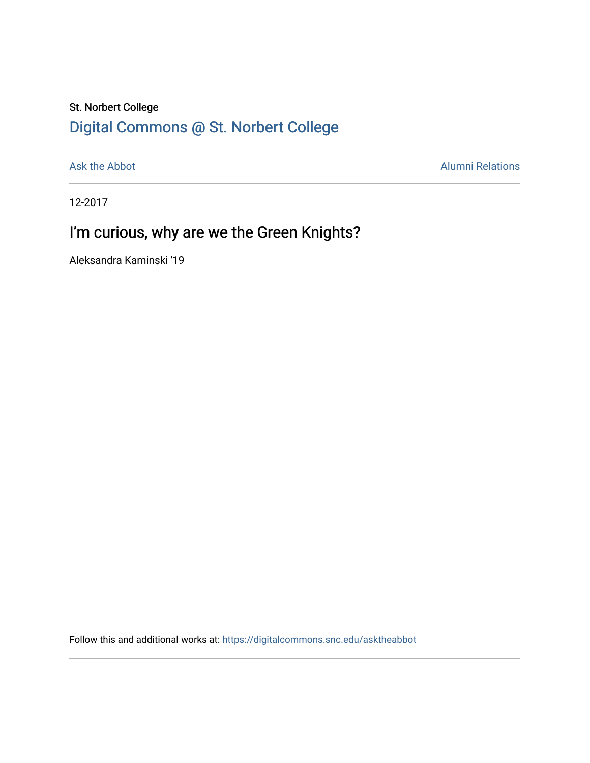## St. Norbert College [Digital Commons @ St. Norbert College](https://digitalcommons.snc.edu/)

[Ask the Abbot](https://digitalcommons.snc.edu/asktheabbot) **Alumni Relations** Alumni Relations

12-2017

# I'm curious, why are we the Green Knights?

Aleksandra Kaminski '19

Follow this and additional works at: [https://digitalcommons.snc.edu/asktheabbot](https://digitalcommons.snc.edu/asktheabbot?utm_source=digitalcommons.snc.edu%2Fasktheabbot%2F120&utm_medium=PDF&utm_campaign=PDFCoverPages)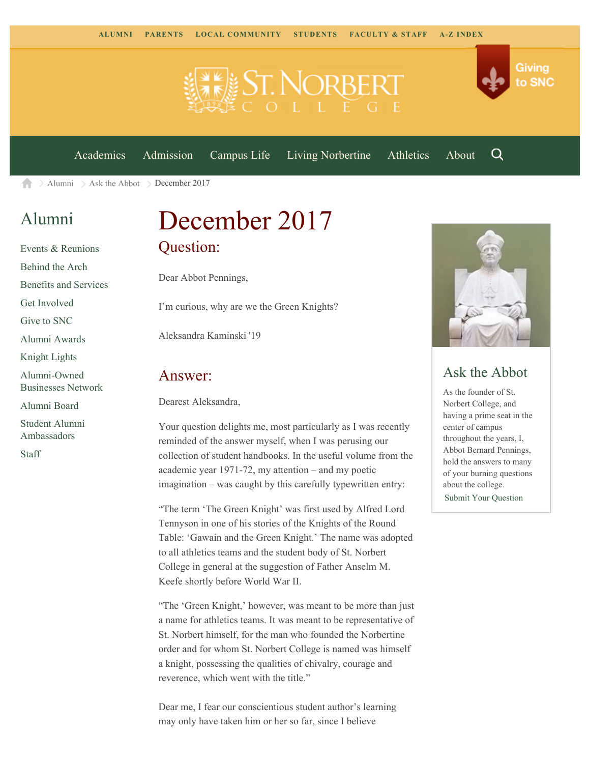



[Academics](https://www.snc.edu/academics) [Admission](https://www.snc.edu/admission) [Campus Life](https://www.snc.edu/campuslife) [Living Norbertine](https://www.snc.edu/livingnorbertine) [Athletics](https://www.snc.edu/athletics) [About](https://www.snc.edu/about)

Q

 $\geq$  [Alumni](https://www.snc.edu/alumni/)  $\geq$  [Ask the Abbot](https://www.snc.edu/alumni/abbot/)  $\geq$  December 2017 A

### [Alumni](https://www.snc.edu/alumni/index.html)

[Events & Reunions](https://www.snc.edu/alumni/event/index.html) [Behind the Arch](https://www.snc.edu/alumni/event/behindthearch/) [Benefits and Services](https://www.snc.edu/alumni/benefits.html) [Get Involved](https://www.snc.edu/alumni/getinvolved.html) [Give to SNC](http://giving.snc.edu/) [Alumni Awards](https://www.snc.edu/alumni/awards/index.html) [Knight Lights](https://www.snc.edu/alumni/knightlights/index.html) [Alumni-Owned](https://www.snc.edu/alumni/directory/index.html) [Businesses Network](https://www.snc.edu/alumni/directory/index.html) [Alumni Board](https://www.snc.edu/alumni/alumniboard.html) [Student Alumni](https://www.snc.edu/alumni/saa.html) [Ambassadors](https://www.snc.edu/alumni/saa.html) [Staff](https://www.snc.edu/alumni/contactus.html)

# December 2017 Question:

Dear Abbot Pennings,

I'm curious, why are we the Green Knights?

Aleksandra Kaminski '19

#### Answer:

Dearest Aleksandra,

Your question delights me, most particularly as I was recently reminded of the answer myself, when I was perusing our collection of student handbooks. In the useful volume from the academic year 1971-72, my attention – and my poetic imagination – was caught by this carefully typewritten entry:

"The term 'The Green Knight' was first used by Alfred Lord Tennyson in one of his stories of the Knights of the Round Table: 'Gawain and the Green Knight.' The name was adopted to all athletics teams and the student body of St. Norbert College in general at the suggestion of Father Anselm M. Keefe shortly before World War II.

"The 'Green Knight,' however, was meant to be more than just a name for athletics teams. It was meant to be representative of St. Norbert himself, for the man who founded the Norbertine order and for whom St. Norbert College is named was himself a knight, possessing the qualities of chivalry, courage and reverence, which went with the title."

Dear me, I fear our conscientious student author's learning may only have taken him or her so far, since I believe



### Ask the Abbot

As the founder of St. Norbert College, and having a prime seat in the center of campus throughout the years, I, Abbot Bernard Pennings, hold the answers to many of your burning questions about the college. [Submit Your Question](https://www.snc.edu/alumni/abbot/index.html)